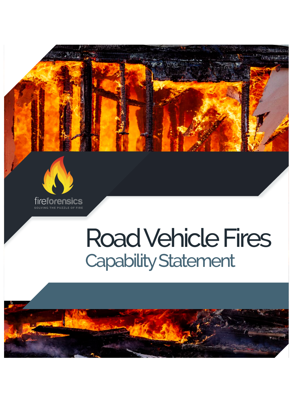



## Road Vehicle Fires Capability Statement